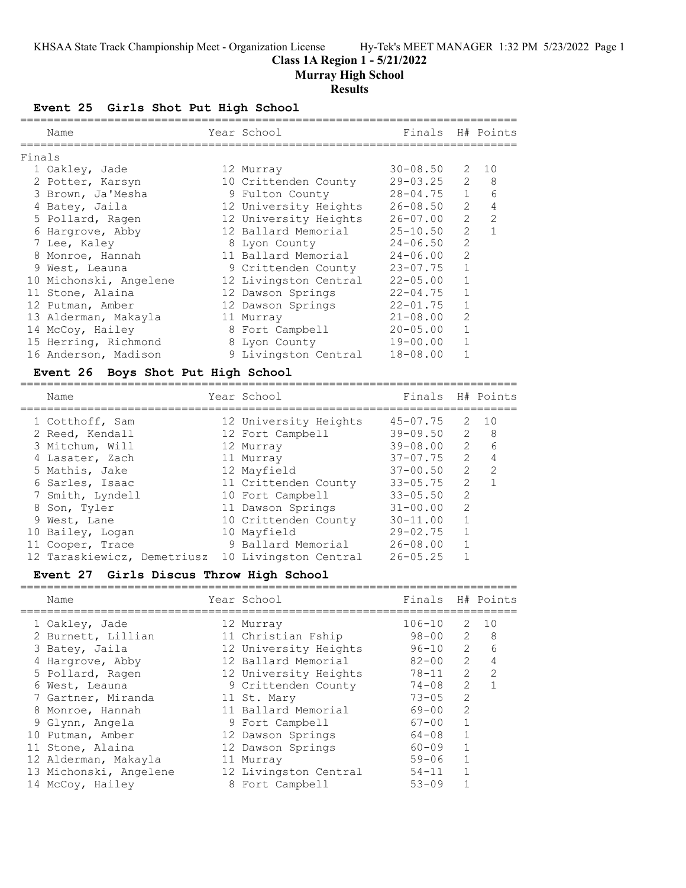#### **Class 1A Region 1 - 5/21/2022**

**Murray High School**

#### **Results**

#### **Event 25 Girls Shot Put High School**

|        | Name                   | Finals<br>Year School |              |                                                                                                                                                                 | H# Points     |
|--------|------------------------|-----------------------|--------------|-----------------------------------------------------------------------------------------------------------------------------------------------------------------|---------------|
| Finals |                        |                       |              |                                                                                                                                                                 |               |
|        | 1 Oakley, Jade         | 12 Murray             | $30 - 08.50$ | $\mathcal{L}$                                                                                                                                                   | 10            |
|        | 2 Potter, Karsyn       | 10 Crittenden County  | $29 - 03.25$ | $\overline{2}$                                                                                                                                                  | 8             |
|        | 3 Brown, Ja'Mesha      | 9 Fulton County       | $28 - 04.75$ | $\mathbf{1}$                                                                                                                                                    | 6             |
|        | 4 Batey, Jaila         | 12 University Heights | $26 - 08.50$ | $\mathcal{L}$                                                                                                                                                   | 4             |
|        | 5 Pollard, Ragen       | 12 University Heights | $26 - 07.00$ | $\mathcal{L}$                                                                                                                                                   | $\mathcal{L}$ |
|        | Hargrove, Abby         | 12 Ballard Memorial   | $25 - 10.50$ | $\mathcal{L}$                                                                                                                                                   |               |
|        | 7 Lee, Kaley           | 8 Lyon County         | $24 - 06.50$ | $\overline{2}$                                                                                                                                                  |               |
| 8      | Monroe, Hannah         | 11 Ballard Memorial   | $24 - 06.00$ | $\mathcal{L}$                                                                                                                                                   |               |
|        | 9 West, Leauna         | 9 Crittenden County   | $23 - 07.75$ | 1                                                                                                                                                               |               |
|        | 10 Michonski, Angelene | 12 Livingston Central | $22 - 05.00$ |                                                                                                                                                                 |               |
|        | 11 Stone, Alaina       | 12 Dawson Springs     | $22 - 04.75$ |                                                                                                                                                                 |               |
|        | 12 Putman, Amber       | 12 Dawson Springs     | $22 - 01.75$ |                                                                                                                                                                 |               |
|        | 13 Alderman, Makayla   | 11 Murray             | $21 - 08.00$ | $\mathcal{D}_{\mathcal{L}}^{\mathcal{L}}(\mathcal{L})=\mathcal{D}_{\mathcal{L}}^{\mathcal{L}}(\mathcal{L})\mathcal{D}_{\mathcal{L}}^{\mathcal{L}}(\mathcal{L})$ |               |
|        | 14 McCoy, Hailey       | 8 Fort Campbell       | $20 - 05.00$ |                                                                                                                                                                 |               |
|        | 15 Herring, Richmond   | 8 Lyon County         | $19 - 00.00$ |                                                                                                                                                                 |               |
|        | 16 Anderson, Madison   | 9 Livingston Central  | $18 - 08.00$ |                                                                                                                                                                 |               |
|        |                        |                       |              |                                                                                                                                                                 |               |

#### **Event 26 Boys Shot Put High School**

| Name                        | Year School           | Finals       |                | H# Points      |
|-----------------------------|-----------------------|--------------|----------------|----------------|
| 1 Cotthoff, Sam             | 12 University Heights | $45 - 07.75$ | 2              | 10             |
| 2 Reed, Kendall             | 12 Fort Campbell      | $39 - 09.50$ | $\overline{2}$ | - 8            |
| 3 Mitchum, Will             | 12 Murray             | $39 - 08.00$ | 2              | 6              |
| 4 Lasater, Zach             | 11 Murray             | $37 - 07.75$ | 2              | 4              |
| 5 Mathis, Jake              | 12 Mayfield           | $37 - 00.50$ | $\mathcal{L}$  | $\overline{2}$ |
| 6 Sarles, Isaac             | 11 Crittenden County  | $33 - 05.75$ | 2              |                |
| 7 Smith, Lyndell            | 10 Fort Campbell      | $33 - 05.50$ | $\mathcal{L}$  |                |
| 8 Son, Tyler                | 11 Dawson Springs     | $31 - 00.00$ | $\mathcal{L}$  |                |
| 9 West, Lane                | 10 Crittenden County  | $30 - 11.00$ |                |                |
| 10 Bailey, Logan            | 10 Mayfield           | $29 - 02.75$ | 1              |                |
| 11 Cooper, Trace            | 9 Ballard Memorial    | $26 - 08.00$ |                |                |
| 12 Taraskiewicz, Demetriusz | 10 Livingston Central | $26 - 05.25$ |                |                |

#### **Event 27 Girls Discus Throw High School**

========================================================================== Name Year School Finals H# Points ========================================================================== 1 Oakley, Jade 12 Murray 106-10 2 10 2 Burnett, Lillian 11 Christian Fship 98-00 2 8 3 Batey, Jaila 12 University Heights 96-10 2 6 4 Hargrove, Abby 12 Ballard Memorial 82-00 2 4 5 Pollard, Ragen 12 University Heights 78-11 2 2 6 West, Leauna 9 Crittenden County 74-08 2 1 7 Gartner, Miranda 11 St. Mary 73-05 2 8 Monroe, Hannah 11 Ballard Memorial 69-00 2 9 Glynn, Angela 9 Fort Campbell 67-00 1 10 Putman, Amber 12 Dawson Springs 64-08 1 11 Stone, Alaina 12 Dawson Springs 60-09 1 12 Alderman, Makayla 11 Murray 59-06 1 13 Michonski, Angelene 12 Livingston Central 54-11 1 14 McCoy, Hailey 8 Fort Campbell 53-09 1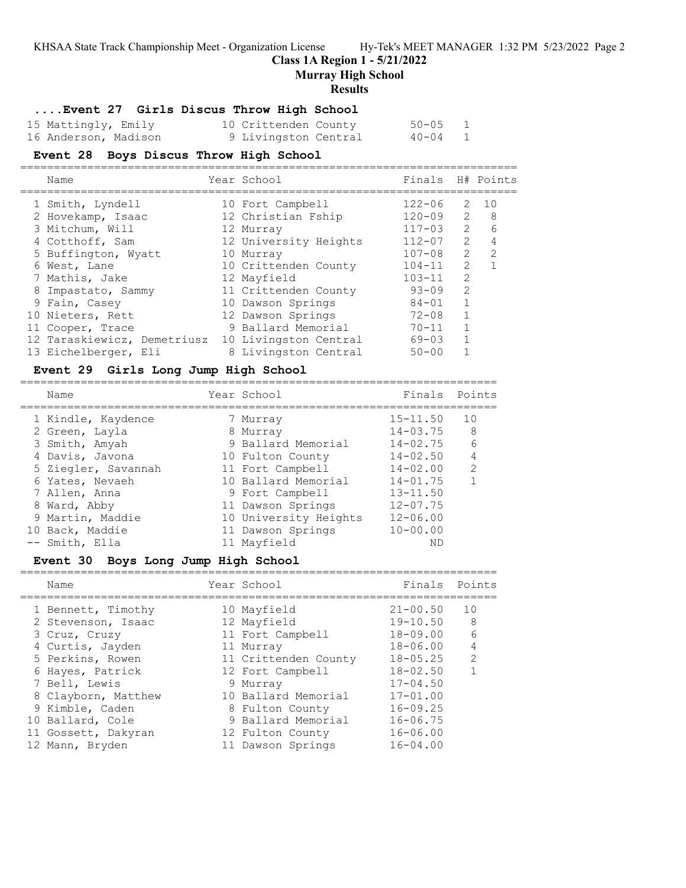#### **Class 1A Region 1 - 5/21/2022**

**Murray High School**

#### **Results**

#### **....Event 27 Girls Discus Throw High School**

| 15 Mattingly, Emily  | 10 Crittenden County | $50 - 05$ |  |
|----------------------|----------------------|-----------|--|
| 16 Anderson, Madison | 9 Livingston Central | $40 - 04$ |  |

#### **Event 28 Boys Discus Throw High School**

| Name                        | Year School           | Finals H# Points |                |                |
|-----------------------------|-----------------------|------------------|----------------|----------------|
| 1 Smith, Lyndell            | 10 Fort Campbell      | $122 - 06$       | 2              | 1 O            |
| 2 Hovekamp, Isaac           | 12 Christian Fship    | $120 - 09$       | $\overline{2}$ | - 8            |
| 3 Mitchum, Will             | 12 Murray             | $117 - 03$       | 2              | 6              |
| 4 Cotthoff, Sam             | 12 University Heights | $112 - 07$       | $\overline{2}$ | $\overline{4}$ |
| 5 Buffington, Wyatt         | 10 Murray             | $107 - 08$       | $\mathcal{L}$  | $\mathcal{L}$  |
| 6 West, Lane                | 10 Crittenden County  | $104 - 11$       | $\mathcal{L}$  |                |
| 7 Mathis, Jake              | 12 Mayfield           | $103 - 11$       | $\overline{2}$ |                |
| 8 Impastato, Sammy          | 11 Crittenden County  | $93 - 09$        | 2              |                |
| 9 Fain, Casey               | 10 Dawson Springs     | $84 - 01$        |                |                |
| 10 Nieters, Rett            | 12 Dawson Springs     | $72 - 08$        | 1              |                |
| 11 Cooper, Trace            | 9 Ballard Memorial    | $70 - 11$        |                |                |
| 12 Taraskiewicz, Demetriusz | 10 Livingston Central | $69 - 03$        |                |                |
| 13 Eichelberger, Eli        | 8 Livingston Central  | $50 - 00$        |                |                |

#### **Event 29 Girls Long Jump High School**

| Name                | Year School           | Finals Points |                 |
|---------------------|-----------------------|---------------|-----------------|
| 1 Kindle, Kaydence  | 7 Murray              | $15 - 11.50$  | 10              |
| 2 Green, Layla      | 8 Murray              | $14 - 03.75$  | - 8             |
| 3 Smith, Amyah      | 9 Ballard Memorial    | $14 - 02.75$  | $6\overline{6}$ |
| 4 Davis, Javona     | 10 Fulton County      | $14 - 02.50$  | 4               |
| 5 Ziegler, Savannah | 11 Fort Campbell      | $14 - 02.00$  | $\mathcal{P}$   |
| 6 Yates, Nevaeh     | 10 Ballard Memorial   | $14 - 01.75$  |                 |
| 7 Allen, Anna       | 9 Fort Campbell       | $13 - 11.50$  |                 |
| 8 Ward, Abby        | 11 Dawson Springs     | $12 - 07.75$  |                 |
| 9 Martin, Maddie    | 10 University Heights | $12 - 06.00$  |                 |
| 10 Back, Maddie     | 11 Dawson Springs     | $10 - 00.00$  |                 |
| -- Smith, Ella      | 11 Mayfield           | ΝD            |                 |

#### **Event 30 Boys Long Jump High School**

| Name                | Year School          | Finals       | Points         |
|---------------------|----------------------|--------------|----------------|
| 1 Bennett, Timothy  | 10 Mayfield          | $21 - 00.50$ | 10             |
| 2 Stevenson, Isaac  | 12 Mayfield          | $19 - 10.50$ | -8             |
| 3 Cruz, Cruzy       | 11 Fort Campbell     | $18 - 09.00$ | 6              |
| 4 Curtis, Jayden    | 11 Murray            | $18 - 06.00$ | $\overline{4}$ |
| 5 Perkins, Rowen    | 11 Crittenden County | $18 - 05.25$ | $\mathcal{L}$  |
| 6 Hayes, Patrick    | 12 Fort Campbell     | $18 - 02.50$ |                |
| 7 Bell, Lewis       | 9 Murray             | $17 - 04.50$ |                |
| 8 Clayborn, Matthew | 10 Ballard Memorial  | $17 - 01.00$ |                |
| 9 Kimble, Caden     | 8 Fulton County      | $16 - 09.25$ |                |
| 10 Ballard, Cole    | 9 Ballard Memorial   | $16 - 06.75$ |                |
| 11 Gossett, Dakyran | 12 Fulton County     | $16 - 06.00$ |                |
| 12 Mann, Bryden     | 11 Dawson Springs    | $16 - 04.00$ |                |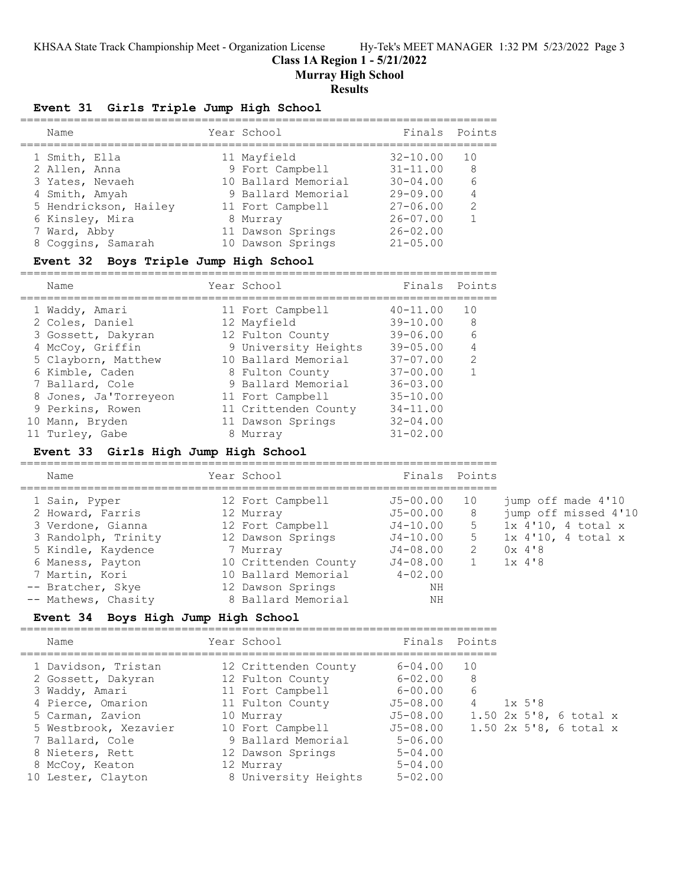#### **Class 1A Region 1 - 5/21/2022**

**Murray High School**

#### **Results**

## **Event 31 Girls Triple Jump High School**

| Name                  | Year School         | Finals Points |                |
|-----------------------|---------------------|---------------|----------------|
| 1 Smith, Ella         | 11 Mayfield         | $32 - 10.00$  | 1 N            |
| 2 Allen, Anna         | 9 Fort Campbell     | $31 - 11.00$  | - 8            |
| 3 Yates, Nevaeh       | 10 Ballard Memorial | $30 - 04.00$  | 6              |
| 4 Smith, Amyah        | 9 Ballard Memorial  | $29 - 09.00$  | $\overline{4}$ |
| 5 Hendrickson, Hailey | 11 Fort Campbell    | $27 - 06.00$  | $\mathcal{L}$  |
| 6 Kinsley, Mira       | 8 Murray            | $26 - 07.00$  |                |
| 7 Ward, Abby          | 11 Dawson Springs   | $26 - 02.00$  |                |
| 8 Coggins, Samarah    | 10 Dawson Springs   | $21 - 05.00$  |                |

#### **Event 32 Boys Triple Jump High School**

=======================================================================

| Name |                                                                                                                                                                                                                             | Finals                                                                                                                                                                                                                                  | Points         |
|------|-----------------------------------------------------------------------------------------------------------------------------------------------------------------------------------------------------------------------------|-----------------------------------------------------------------------------------------------------------------------------------------------------------------------------------------------------------------------------------------|----------------|
|      |                                                                                                                                                                                                                             | $40 - 11.00$                                                                                                                                                                                                                            | 10             |
|      |                                                                                                                                                                                                                             | $39 - 10.00$                                                                                                                                                                                                                            | 8              |
|      |                                                                                                                                                                                                                             | $39 - 06.00$                                                                                                                                                                                                                            | 6              |
|      |                                                                                                                                                                                                                             | $39 - 05.00$                                                                                                                                                                                                                            | $\overline{4}$ |
|      |                                                                                                                                                                                                                             | $37 - 07.00$                                                                                                                                                                                                                            | $\mathcal{L}$  |
|      |                                                                                                                                                                                                                             | $37 - 00.00$                                                                                                                                                                                                                            |                |
|      |                                                                                                                                                                                                                             | $36 - 03.00$                                                                                                                                                                                                                            |                |
|      |                                                                                                                                                                                                                             | $35 - 10.00$                                                                                                                                                                                                                            |                |
|      |                                                                                                                                                                                                                             | $34 - 11.00$                                                                                                                                                                                                                            |                |
|      |                                                                                                                                                                                                                             | $32 - 04.00$                                                                                                                                                                                                                            |                |
|      |                                                                                                                                                                                                                             | $31 - 02.00$                                                                                                                                                                                                                            |                |
|      | 1 Waddy, Amari<br>2 Coles, Daniel<br>3 Gossett, Dakyran<br>4 McCoy, Griffin<br>5 Clayborn, Matthew<br>6 Kimble, Caden<br>7 Ballard, Cole<br>8 Jones, Ja'Torreyeon<br>9 Perkins, Rowen<br>10 Mann, Bryden<br>11 Turley, Gabe | Year School<br>11 Fort Campbell<br>12 Mayfield<br>12 Fulton County<br>9 University Heights<br>10 Ballard Memorial<br>8 Fulton County<br>9 Ballard Memorial<br>11 Fort Campbell<br>11 Crittenden County<br>11 Dawson Springs<br>8 Murray |                |

## **Event 33 Girls High Jump High School**

| Name                |  |                                                                                                                                                                                             |    |                      |
|---------------------|--|---------------------------------------------------------------------------------------------------------------------------------------------------------------------------------------------|----|----------------------|
| 1 Sain, Pyper       |  | J5-00.00                                                                                                                                                                                    | 10 | jump off made 4'10   |
| 2 Howard, Farris    |  | J5-00.00                                                                                                                                                                                    | 8  | jump off missed 4'10 |
| 3 Verdone, Gianna   |  | $J4 - 10.00$                                                                                                                                                                                | 5  | $1x$ 4'10, 4 total x |
| 3 Randolph, Trinity |  | $J4 - 10.00$                                                                                                                                                                                | 5  | $1x$ 4'10, 4 total x |
| 5 Kindle, Kaydence  |  | J4-08.00                                                                                                                                                                                    | 2  | 0x4'8                |
| 6 Maness, Payton    |  | J4-08.00                                                                                                                                                                                    |    | $1x$ 4'8             |
| 7 Martin, Kori      |  | $4 - 02.00$                                                                                                                                                                                 |    |                      |
| -- Bratcher, Skye   |  | ΝH                                                                                                                                                                                          |    |                      |
| -- Mathews, Chasity |  | ΝH                                                                                                                                                                                          |    |                      |
|                     |  | Year School<br>12 Fort Campbell<br>12 Murray<br>12 Fort Campbell<br>12 Dawson Springs<br>7 Murray<br>10 Crittenden County<br>10 Ballard Memorial<br>12 Dawson Springs<br>8 Ballard Memorial |    | Finals Points        |

# **Event 34 Boys High Jump High School**

| Name                  |  |                                                                                                                                                                                                                  |    |               |           |                                                      |
|-----------------------|--|------------------------------------------------------------------------------------------------------------------------------------------------------------------------------------------------------------------|----|---------------|-----------|------------------------------------------------------|
| 1 Davidson, Tristan   |  | $6 - 04.00$                                                                                                                                                                                                      | 10 |               |           |                                                      |
| 2 Gossett, Dakyran    |  | $6 - 02.00$                                                                                                                                                                                                      | 8  |               |           |                                                      |
| 3 Waddy, Amari        |  | $6 - 00.00$                                                                                                                                                                                                      | 6  |               |           |                                                      |
| 4 Pierce, Omarion     |  | $J5 - 08.00$                                                                                                                                                                                                     | 4  |               |           |                                                      |
| 5 Carman, Zavion      |  | $J5 - 08.00$                                                                                                                                                                                                     |    |               |           |                                                      |
| 5 Westbrook, Xezavier |  | J5-08.00                                                                                                                                                                                                         |    |               |           |                                                      |
| 7 Ballard, Cole       |  | $5 - 06.00$                                                                                                                                                                                                      |    |               |           |                                                      |
| 8 Nieters, Rett       |  | $5 - 04.00$                                                                                                                                                                                                      |    |               |           |                                                      |
| 8 McCoy, Keaton       |  | $5 - 04.00$                                                                                                                                                                                                      |    |               |           |                                                      |
| 10 Lester, Clayton    |  | $5 - 02.00$                                                                                                                                                                                                      |    |               |           |                                                      |
|                       |  | Year School<br>12 Crittenden County<br>12 Fulton County<br>11 Fort Campbell<br>11 Fulton County<br>10 Murray<br>10 Fort Campbell<br>9 Ballard Memorial<br>12 Dawson Springs<br>12 Murray<br>8 University Heights |    | Finals Points | $1x\;5'8$ | 1.50 $2x$ 5'8, 6 total x<br>1.50 $2x$ 5'8, 6 total x |